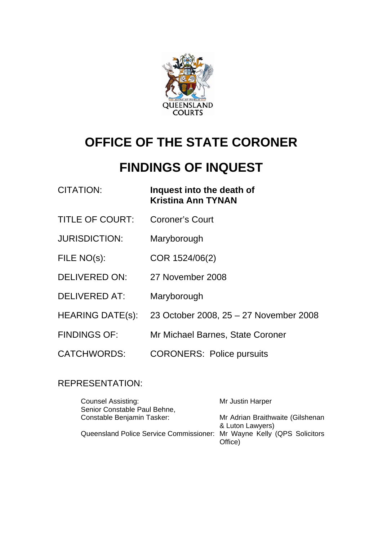

# **OFFICE OF THE STATE CORONER**

# **FINDINGS OF INQUEST**

| <b>CITATION:</b>        | Inquest into the death of<br><b>Kristina Ann TYNAN</b> |
|-------------------------|--------------------------------------------------------|
| <b>TITLE OF COURT:</b>  | <b>Coroner's Court</b>                                 |
| <b>JURISDICTION:</b>    | Maryborough                                            |
| FILE NO(s):             | COR 1524/06(2)                                         |
| <b>DELIVERED ON:</b>    | 27 November 2008                                       |
| <b>DELIVERED AT:</b>    | Maryborough                                            |
| <b>HEARING DATE(s):</b> | 23 October 2008, 25 - 27 November 2008                 |
| <b>FINDINGS OF:</b>     | Mr Michael Barnes, State Coroner                       |
| <b>CATCHWORDS:</b>      | <b>CORONERS: Police pursuits</b>                       |

## REPRESENTATION:

| <b>Counsel Assisting:</b>                                              | Mr Justin Harper                                     |
|------------------------------------------------------------------------|------------------------------------------------------|
| Senior Constable Paul Behne,                                           |                                                      |
| Constable Benjamin Tasker:                                             | Mr Adrian Braithwaite (Gilshenan<br>& Luton Lawyers) |
| Queensland Police Service Commissioner: Mr Wayne Kelly (QPS Solicitors | Office)                                              |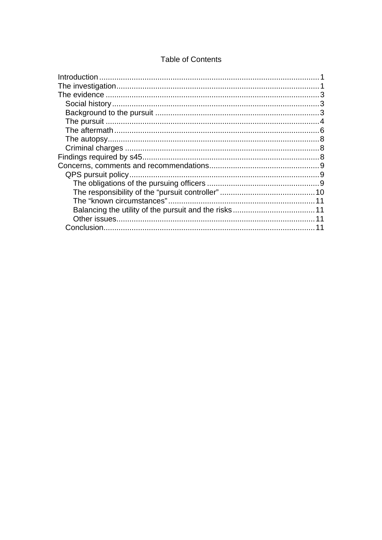#### **Table of Contents**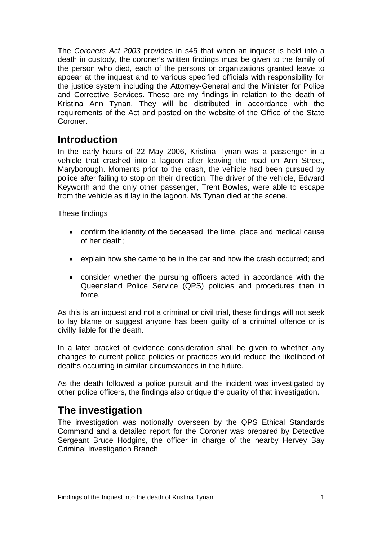<span id="page-2-0"></span>The *Coroners Act 2003* provides in s45 that when an inquest is held into a death in custody, the coroner's written findings must be given to the family of the person who died, each of the persons or organizations granted leave to appear at the inquest and to various specified officials with responsibility for the justice system including the Attorney-General and the Minister for Police and Corrective Services. These are my findings in relation to the death of Kristina Ann Tynan. They will be distributed in accordance with the requirements of the Act and posted on the website of the Office of the State Coroner.

# **Introduction**

In the early hours of 22 May 2006, Kristina Tynan was a passenger in a vehicle that crashed into a lagoon after leaving the road on Ann Street, Maryborough. Moments prior to the crash, the vehicle had been pursued by police after failing to stop on their direction. The driver of the vehicle, Edward Keyworth and the only other passenger, Trent Bowles, were able to escape from the vehicle as it lay in the lagoon. Ms Tynan died at the scene.

These findings

- confirm the identity of the deceased, the time, place and medical cause of her death;
- explain how she came to be in the car and how the crash occurred; and
- consider whether the pursuing officers acted in accordance with the Queensland Police Service (QPS) policies and procedures then in force.

As this is an inquest and not a criminal or civil trial, these findings will not seek to lay blame or suggest anyone has been guilty of a criminal offence or is civilly liable for the death.

In a later bracket of evidence consideration shall be given to whether any changes to current police policies or practices would reduce the likelihood of deaths occurring in similar circumstances in the future.

As the death followed a police pursuit and the incident was investigated by other police officers, the findings also critique the quality of that investigation.

# **The investigation**

The investigation was notionally overseen by the QPS Ethical Standards Command and a detailed report for the Coroner was prepared by Detective Sergeant Bruce Hodgins, the officer in charge of the nearby Hervey Bay Criminal Investigation Branch.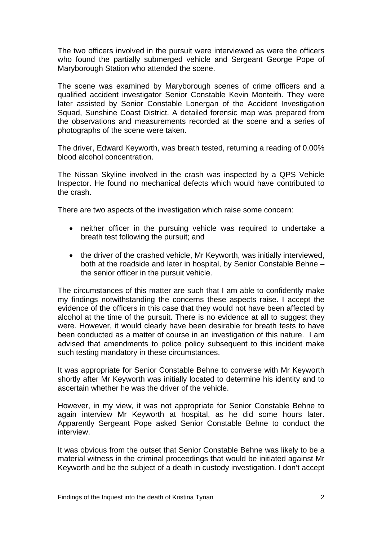The two officers involved in the pursuit were interviewed as were the officers who found the partially submerged vehicle and Sergeant George Pope of Maryborough Station who attended the scene.

The scene was examined by Maryborough scenes of crime officers and a qualified accident investigator Senior Constable Kevin Monteith. They were later assisted by Senior Constable Lonergan of the Accident Investigation Squad, Sunshine Coast District. A detailed forensic map was prepared from the observations and measurements recorded at the scene and a series of photographs of the scene were taken.

The driver, Edward Keyworth, was breath tested, returning a reading of 0.00% blood alcohol concentration.

The Nissan Skyline involved in the crash was inspected by a QPS Vehicle Inspector. He found no mechanical defects which would have contributed to the crash.

There are two aspects of the investigation which raise some concern:

- neither officer in the pursuing vehicle was required to undertake a breath test following the pursuit; and
- the driver of the crashed vehicle, Mr Keyworth, was initially interviewed, both at the roadside and later in hospital, by Senior Constable Behne – the senior officer in the pursuit vehicle.

The circumstances of this matter are such that I am able to confidently make my findings notwithstanding the concerns these aspects raise. I accept the evidence of the officers in this case that they would not have been affected by alcohol at the time of the pursuit. There is no evidence at all to suggest they were. However, it would clearly have been desirable for breath tests to have been conducted as a matter of course in an investigation of this nature. I am advised that amendments to police policy subsequent to this incident make such testing mandatory in these circumstances.

It was appropriate for Senior Constable Behne to converse with Mr Keyworth shortly after Mr Keyworth was initially located to determine his identity and to ascertain whether he was the driver of the vehicle.

However, in my view, it was not appropriate for Senior Constable Behne to again interview Mr Keyworth at hospital, as he did some hours later. Apparently Sergeant Pope asked Senior Constable Behne to conduct the interview.

It was obvious from the outset that Senior Constable Behne was likely to be a material witness in the criminal proceedings that would be initiated against Mr Keyworth and be the subject of a death in custody investigation. I don't accept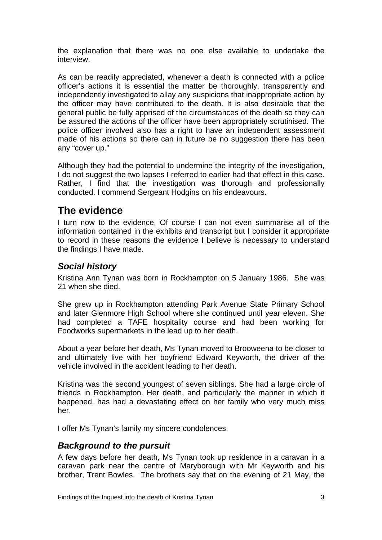<span id="page-4-0"></span>the explanation that there was no one else available to undertake the interview.

As can be readily appreciated, whenever a death is connected with a police officer's actions it is essential the matter be thoroughly, transparently and independently investigated to allay any suspicions that inappropriate action by the officer may have contributed to the death. It is also desirable that the general public be fully apprised of the circumstances of the death so they can be assured the actions of the officer have been appropriately scrutinised. The police officer involved also has a right to have an independent assessment made of his actions so there can in future be no suggestion there has been any "cover up."

Although they had the potential to undermine the integrity of the investigation, I do not suggest the two lapses I referred to earlier had that effect in this case. Rather, I find that the investigation was thorough and professionally conducted. I commend Sergeant Hodgins on his endeavours.

# **The evidence**

I turn now to the evidence. Of course I can not even summarise all of the information contained in the exhibits and transcript but I consider it appropriate to record in these reasons the evidence I believe is necessary to understand the findings I have made.

## *Social history*

Kristina Ann Tynan was born in Rockhampton on 5 January 1986. She was 21 when she died.

She grew up in Rockhampton attending Park Avenue State Primary School and later Glenmore High School where she continued until year eleven. She had completed a TAFE hospitality course and had been working for Foodworks supermarkets in the lead up to her death.

About a year before her death, Ms Tynan moved to Brooweena to be closer to and ultimately live with her boyfriend Edward Keyworth, the driver of the vehicle involved in the accident leading to her death.

Kristina was the second youngest of seven siblings. She had a large circle of friends in Rockhampton. Her death, and particularly the manner in which it happened, has had a devastating effect on her family who very much miss her.

I offer Ms Tynan's family my sincere condolences.

### *Background to the pursuit*

A few days before her death, Ms Tynan took up residence in a caravan in a caravan park near the centre of Maryborough with Mr Keyworth and his brother, Trent Bowles. The brothers say that on the evening of 21 May, the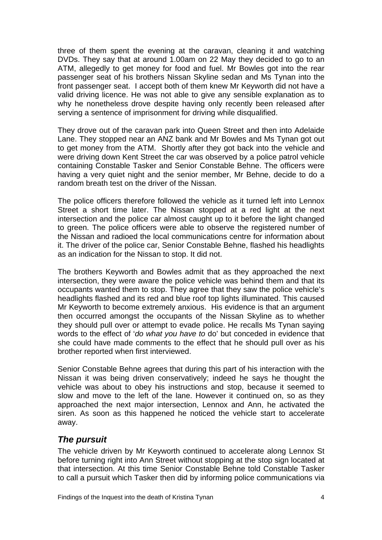<span id="page-5-0"></span>three of them spent the evening at the caravan, cleaning it and watching DVDs. They say that at around 1.00am on 22 May they decided to go to an ATM, allegedly to get money for food and fuel. Mr Bowles got into the rear passenger seat of his brothers Nissan Skyline sedan and Ms Tynan into the front passenger seat. I accept both of them knew Mr Keyworth did not have a valid driving licence. He was not able to give any sensible explanation as to why he nonetheless drove despite having only recently been released after serving a sentence of imprisonment for driving while disqualified.

They drove out of the caravan park into Queen Street and then into Adelaide Lane. They stopped near an ANZ bank and Mr Bowles and Ms Tynan got out to get money from the ATM. Shortly after they got back into the vehicle and were driving down Kent Street the car was observed by a police patrol vehicle containing Constable Tasker and Senior Constable Behne. The officers were having a very quiet night and the senior member, Mr Behne, decide to do a random breath test on the driver of the Nissan.

The police officers therefore followed the vehicle as it turned left into Lennox Street a short time later. The Nissan stopped at a red light at the next intersection and the police car almost caught up to it before the light changed to green. The police officers were able to observe the registered number of the Nissan and radioed the local communications centre for information about it. The driver of the police car, Senior Constable Behne, flashed his headlights as an indication for the Nissan to stop. It did not.

The brothers Keyworth and Bowles admit that as they approached the next intersection, they were aware the police vehicle was behind them and that its occupants wanted them to stop. They agree that they saw the police vehicle's headlights flashed and its red and blue roof top lights illuminated. This caused Mr Keyworth to become extremely anxious. His evidence is that an argument then occurred amongst the occupants of the Nissan Skyline as to whether they should pull over or attempt to evade police. He recalls Ms Tynan saying words to the effect of '*do what you have to* do' but conceded in evidence that she could have made comments to the effect that he should pull over as his brother reported when first interviewed.

Senior Constable Behne agrees that during this part of his interaction with the Nissan it was being driven conservatively; indeed he says he thought the vehicle was about to obey his instructions and stop, because it seemed to slow and move to the left of the lane. However it continued on, so as they approached the next major intersection, Lennox and Ann, he activated the siren. As soon as this happened he noticed the vehicle start to accelerate away.

## *The pursuit*

The vehicle driven by Mr Keyworth continued to accelerate along Lennox St before turning right into Ann Street without stopping at the stop sign located at that intersection. At this time Senior Constable Behne told Constable Tasker to call a pursuit which Tasker then did by informing police communications via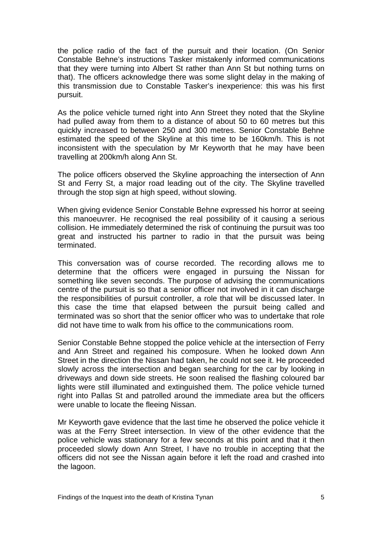the police radio of the fact of the pursuit and their location. (On Senior Constable Behne's instructions Tasker mistakenly informed communications that they were turning into Albert St rather than Ann St but nothing turns on that). The officers acknowledge there was some slight delay in the making of this transmission due to Constable Tasker's inexperience: this was his first pursuit.

As the police vehicle turned right into Ann Street they noted that the Skyline had pulled away from them to a distance of about 50 to 60 metres but this quickly increased to between 250 and 300 metres. Senior Constable Behne estimated the speed of the Skyline at this time to be 160km/h. This is not inconsistent with the speculation by Mr Keyworth that he may have been travelling at 200km/h along Ann St.

The police officers observed the Skyline approaching the intersection of Ann St and Ferry St, a major road leading out of the city. The Skyline travelled through the stop sign at high speed, without slowing.

When giving evidence Senior Constable Behne expressed his horror at seeing this manoeuvrer. He recognised the real possibility of it causing a serious collision. He immediately determined the risk of continuing the pursuit was too great and instructed his partner to radio in that the pursuit was being terminated.

This conversation was of course recorded. The recording allows me to determine that the officers were engaged in pursuing the Nissan for something like seven seconds. The purpose of advising the communications centre of the pursuit is so that a senior officer not involved in it can discharge the responsibilities of pursuit controller, a role that will be discussed later. In this case the time that elapsed between the pursuit being called and terminated was so short that the senior officer who was to undertake that role did not have time to walk from his office to the communications room.

Senior Constable Behne stopped the police vehicle at the intersection of Ferry and Ann Street and regained his composure. When he looked down Ann Street in the direction the Nissan had taken, he could not see it. He proceeded slowly across the intersection and began searching for the car by looking in driveways and down side streets. He soon realised the flashing coloured bar lights were still illuminated and extinguished them. The police vehicle turned right into Pallas St and patrolled around the immediate area but the officers were unable to locate the fleeing Nissan.

Mr Keyworth gave evidence that the last time he observed the police vehicle it was at the Ferry Street intersection. In view of the other evidence that the police vehicle was stationary for a few seconds at this point and that it then proceeded slowly down Ann Street, I have no trouble in accepting that the officers did not see the Nissan again before it left the road and crashed into the lagoon.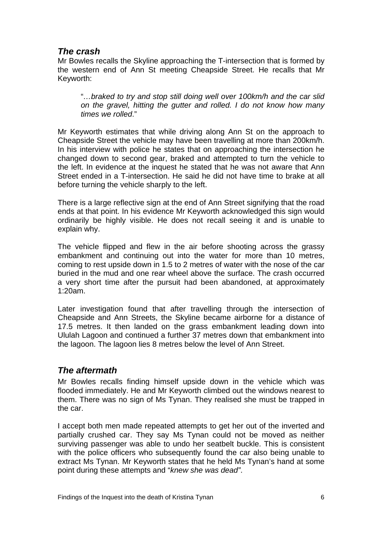## <span id="page-7-0"></span>*The crash*

Mr Bowles recalls the Skyline approaching the T-intersection that is formed by the western end of Ann St meeting Cheapside Street. He recalls that Mr Keyworth:

"*…braked to try and stop still doing well over 100km/h and the car slid on the gravel, hitting the gutter and rolled. I do not know how many times we rolled*."

Mr Keyworth estimates that while driving along Ann St on the approach to Cheapside Street the vehicle may have been travelling at more than 200km/h. In his interview with police he states that on approaching the intersection he changed down to second gear, braked and attempted to turn the vehicle to the left. In evidence at the inquest he stated that he was not aware that Ann Street ended in a T-intersection. He said he did not have time to brake at all before turning the vehicle sharply to the left.

There is a large reflective sign at the end of Ann Street signifying that the road ends at that point. In his evidence Mr Keyworth acknowledged this sign would ordinarily be highly visible. He does not recall seeing it and is unable to explain why.

The vehicle flipped and flew in the air before shooting across the grassy embankment and continuing out into the water for more than 10 metres, coming to rest upside down in 1.5 to 2 metres of water with the nose of the car buried in the mud and one rear wheel above the surface. The crash occurred a very short time after the pursuit had been abandoned, at approximately 1:20am.

Later investigation found that after travelling through the intersection of Cheapside and Ann Streets, the Skyline became airborne for a distance of 17.5 metres. It then landed on the grass embankment leading down into Ululah Lagoon and continued a further 37 metres down that embankment into the lagoon. The lagoon lies 8 metres below the level of Ann Street.

### *The aftermath*

Mr Bowles recalls finding himself upside down in the vehicle which was flooded immediately. He and Mr Keyworth climbed out the windows nearest to them. There was no sign of Ms Tynan. They realised she must be trapped in the car.

I accept both men made repeated attempts to get her out of the inverted and partially crushed car. They say Ms Tynan could not be moved as neither surviving passenger was able to undo her seatbelt buckle. This is consistent with the police officers who subsequently found the car also being unable to extract Ms Tynan. Mr Keyworth states that he held Ms Tynan's hand at some point during these attempts and "*knew she was dead"*.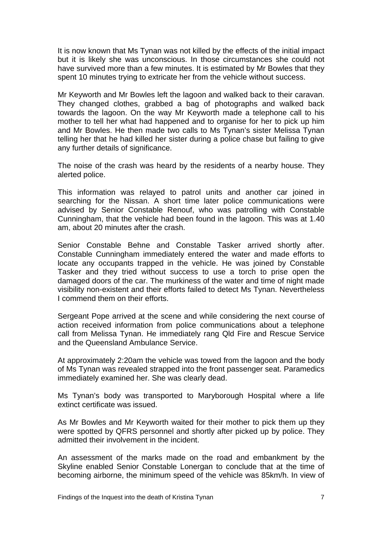It is now known that Ms Tynan was not killed by the effects of the initial impact but it is likely she was unconscious. In those circumstances she could not have survived more than a few minutes. It is estimated by Mr Bowles that they spent 10 minutes trying to extricate her from the vehicle without success.

Mr Keyworth and Mr Bowles left the lagoon and walked back to their caravan. They changed clothes, grabbed a bag of photographs and walked back towards the lagoon. On the way Mr Keyworth made a telephone call to his mother to tell her what had happened and to organise for her to pick up him and Mr Bowles. He then made two calls to Ms Tynan's sister Melissa Tynan telling her that he had killed her sister during a police chase but failing to give any further details of significance.

The noise of the crash was heard by the residents of a nearby house. They alerted police.

This information was relayed to patrol units and another car joined in searching for the Nissan. A short time later police communications were advised by Senior Constable Renouf, who was patrolling with Constable Cunningham, that the vehicle had been found in the lagoon. This was at 1.40 am, about 20 minutes after the crash.

Senior Constable Behne and Constable Tasker arrived shortly after. Constable Cunningham immediately entered the water and made efforts to locate any occupants trapped in the vehicle. He was joined by Constable Tasker and they tried without success to use a torch to prise open the damaged doors of the car. The murkiness of the water and time of night made visibility non-existent and their efforts failed to detect Ms Tynan. Nevertheless I commend them on their efforts.

Sergeant Pope arrived at the scene and while considering the next course of action received information from police communications about a telephone call from Melissa Tynan. He immediately rang Qld Fire and Rescue Service and the Queensland Ambulance Service.

At approximately 2:20am the vehicle was towed from the lagoon and the body of Ms Tynan was revealed strapped into the front passenger seat. Paramedics immediately examined her. She was clearly dead.

Ms Tynan's body was transported to Maryborough Hospital where a life extinct certificate was issued.

As Mr Bowles and Mr Keyworth waited for their mother to pick them up they were spotted by QFRS personnel and shortly after picked up by police. They admitted their involvement in the incident.

An assessment of the marks made on the road and embankment by the Skyline enabled Senior Constable Lonergan to conclude that at the time of becoming airborne, the minimum speed of the vehicle was 85km/h. In view of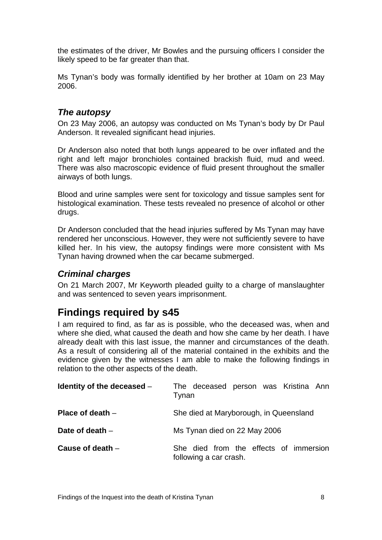<span id="page-9-0"></span>the estimates of the driver, Mr Bowles and the pursuing officers I consider the likely speed to be far greater than that.

Ms Tynan's body was formally identified by her brother at 10am on 23 May 2006.

## *The autopsy*

On 23 May 2006, an autopsy was conducted on Ms Tynan's body by Dr Paul Anderson. It revealed significant head injuries.

Dr Anderson also noted that both lungs appeared to be over inflated and the right and left major bronchioles contained brackish fluid, mud and weed. There was also macroscopic evidence of fluid present throughout the smaller airways of both lungs.

Blood and urine samples were sent for toxicology and tissue samples sent for histological examination. These tests revealed no presence of alcohol or other drugs.

Dr Anderson concluded that the head injuries suffered by Ms Tynan may have rendered her unconscious. However, they were not sufficiently severe to have killed her. In his view, the autopsy findings were more consistent with Ms Tynan having drowned when the car became submerged.

### *Criminal charges*

On 21 March 2007, Mr Keyworth pleaded guilty to a charge of manslaughter and was sentenced to seven years imprisonment.

# **Findings required by s45**

I am required to find, as far as is possible, who the deceased was, when and where she died, what caused the death and how she came by her death. I have already dealt with this last issue, the manner and circumstances of the death. As a result of considering all of the material contained in the exhibits and the evidence given by the witnesses I am able to make the following findings in relation to the other aspects of the death.

| Identity of the deceased $-$ | The deceased person was Kristina Ann<br>Tynan                    |
|------------------------------|------------------------------------------------------------------|
| Place of death $-$           | She died at Maryborough, in Queensland                           |
| Date of death -              | Ms Tynan died on 22 May 2006                                     |
| Cause of death $-$           | She died from the effects of immersion<br>following a car crash. |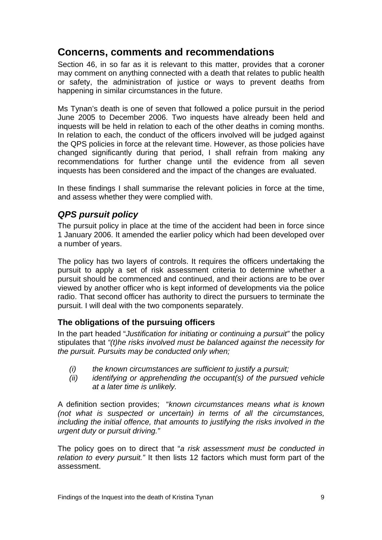# <span id="page-10-0"></span>**Concerns, comments and recommendations**

Section 46, in so far as it is relevant to this matter, provides that a coroner may comment on anything connected with a death that relates to public health or safety, the administration of justice or ways to prevent deaths from happening in similar circumstances in the future.

Ms Tynan's death is one of seven that followed a police pursuit in the period June 2005 to December 2006. Two inquests have already been held and inquests will be held in relation to each of the other deaths in coming months. In relation to each, the conduct of the officers involved will be judged against the QPS policies in force at the relevant time. However, as those policies have changed significantly during that period, I shall refrain from making any recommendations for further change until the evidence from all seven inquests has been considered and the impact of the changes are evaluated.

In these findings I shall summarise the relevant policies in force at the time, and assess whether they were complied with.

## *QPS pursuit policy*

The pursuit policy in place at the time of the accident had been in force since 1 January 2006. It amended the earlier policy which had been developed over a number of years.

The policy has two layers of controls. It requires the officers undertaking the pursuit to apply a set of risk assessment criteria to determine whether a pursuit should be commenced and continued, and their actions are to be over viewed by another officer who is kept informed of developments via the police radio. That second officer has authority to direct the pursuers to terminate the pursuit. I will deal with the two components separately.

### **The obligations of the pursuing officers**

In the part headed "*Justification for initiating or continuing a pursuit"* the policy stipulates that *"(t)he risks involved must be balanced against the necessity for the pursuit. Pursuits may be conducted only when;* 

- *(i) the known circumstances are sufficient to justify a pursuit;*
- *(ii) identifying or apprehending the occupant(s) of the pursued vehicle at a later time is unlikely.*

A definition section provides; "*known circumstances means what is known (not what is suspected or uncertain) in terms of all the circumstances, including the initial offence, that amounts to justifying the risks involved in the urgent duty or pursuit driving."* 

The policy goes on to direct that "*a risk assessment must be conducted in relation to every pursuit."* It then lists 12 factors which must form part of the assessment.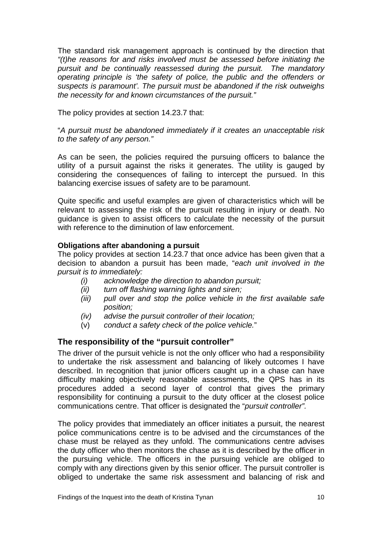<span id="page-11-0"></span>The standard risk management approach is continued by the direction that *"(t)he reasons for and risks involved must be assessed before initiating the pursuit and be continually reassessed during the pursuit. The mandatory operating principle is 'the safety of police, the public and the offenders or suspects is paramount'. The pursuit must be abandoned if the risk outweighs the necessity for and known circumstances of the pursuit."* 

The policy provides at section 14.23.7 that:

"*A pursuit must be abandoned immediately if it creates an unacceptable risk to the safety of any person."* 

As can be seen, the policies required the pursuing officers to balance the utility of a pursuit against the risks it generates. The utility is gauged by considering the consequences of failing to intercept the pursued. In this balancing exercise issues of safety are to be paramount.

Quite specific and useful examples are given of characteristics which will be relevant to assessing the risk of the pursuit resulting in injury or death. No guidance is given to assist officers to calculate the necessity of the pursuit with reference to the diminution of law enforcement.

#### **Obligations after abandoning a pursuit**

The policy provides at section 14.23.7 that once advice has been given that a decision to abandon a pursuit has been made, "*each unit involved in the pursuit is to immediately:* 

- *(i) acknowledge the direction to abandon pursuit;*
- *(ii) turn off flashing warning lights and siren;*
- *(iii) pull over and stop the police vehicle in the first available safe position;*
- *(iv) advise the pursuit controller of their location;*
- (v) *conduct a safety check of the police vehicle.*"

#### **The responsibility of the "pursuit controller"**

The driver of the pursuit vehicle is not the only officer who had a responsibility to undertake the risk assessment and balancing of likely outcomes I have described. In recognition that junior officers caught up in a chase can have difficulty making objectively reasonable assessments, the QPS has in its procedures added a second layer of control that gives the primary responsibility for continuing a pursuit to the duty officer at the closest police communications centre. That officer is designated the "*pursuit controller".*

The policy provides that immediately an officer initiates a pursuit, the nearest police communications centre is to be advised and the circumstances of the chase must be relayed as they unfold. The communications centre advises the duty officer who then monitors the chase as it is described by the officer in the pursuing vehicle. The officers in the pursuing vehicle are obliged to comply with any directions given by this senior officer. The pursuit controller is obliged to undertake the same risk assessment and balancing of risk and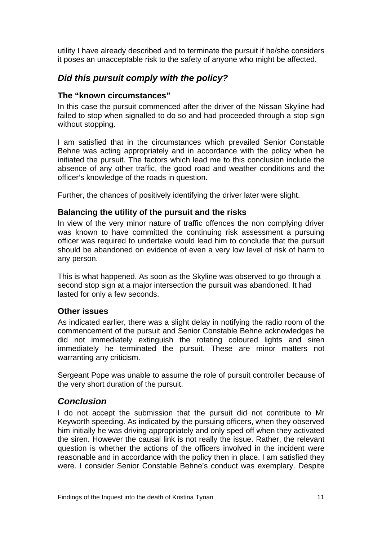<span id="page-12-0"></span>utility I have already described and to terminate the pursuit if he/she considers it poses an unacceptable risk to the safety of anyone who might be affected.

## *Did this pursuit comply with the policy?*

#### **The "known circumstances"**

In this case the pursuit commenced after the driver of the Nissan Skyline had failed to stop when signalled to do so and had proceeded through a stop sign without stopping.

I am satisfied that in the circumstances which prevailed Senior Constable Behne was acting appropriately and in accordance with the policy when he initiated the pursuit. The factors which lead me to this conclusion include the absence of any other traffic, the good road and weather conditions and the officer's knowledge of the roads in question.

Further, the chances of positively identifying the driver later were slight.

#### **Balancing the utility of the pursuit and the risks**

In view of the very minor nature of traffic offences the non complying driver was known to have committed the continuing risk assessment a pursuing officer was required to undertake would lead him to conclude that the pursuit should be abandoned on evidence of even a very low level of risk of harm to any person.

This is what happened. As soon as the Skyline was observed to go through a second stop sign at a major intersection the pursuit was abandoned. It had lasted for only a few seconds.

#### **Other issues**

As indicated earlier, there was a slight delay in notifying the radio room of the commencement of the pursuit and Senior Constable Behne acknowledges he did not immediately extinguish the rotating coloured lights and siren immediately he terminated the pursuit. These are minor matters not warranting any criticism.

Sergeant Pope was unable to assume the role of pursuit controller because of the very short duration of the pursuit.

#### *Conclusion*

I do not accept the submission that the pursuit did not contribute to Mr Keyworth speeding. As indicated by the pursuing officers, when they observed him initially he was driving appropriately and only sped off when they activated the siren. However the causal link is not really the issue. Rather, the relevant question is whether the actions of the officers involved in the incident were reasonable and in accordance with the policy then in place. I am satisfied they were. I consider Senior Constable Behne's conduct was exemplary. Despite